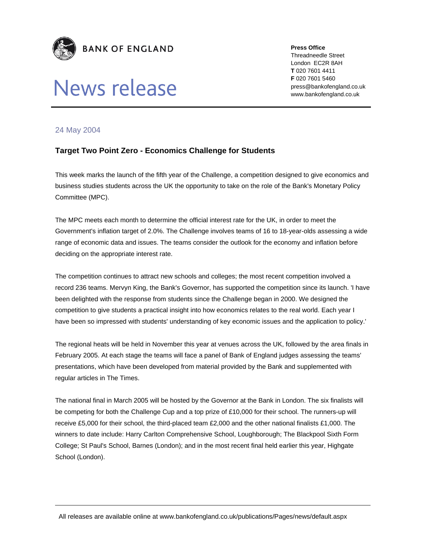

## News release

**Press Office**  Threadneedle Street London EC2R 8AH **T** 020 7601 4411 **F** 020 7601 5460 press@bankofengland.co.uk

www.bankofengland.co.uk

## 24 May 2004

## **Target Two Point Zero - Economics Challenge for Students**

This week marks the launch of the fifth year of the Challenge, a competition designed to give economics and business studies students across the UK the opportunity to take on the role of the Bank's Monetary Policy Committee (MPC).

The MPC meets each month to determine the official interest rate for the UK, in order to meet the Government's inflation target of 2.0%. The Challenge involves teams of 16 to 18-year-olds assessing a wide range of economic data and issues. The teams consider the outlook for the economy and inflation before deciding on the appropriate interest rate.

The competition continues to attract new schools and colleges; the most recent competition involved a record 236 teams. Mervyn King, the Bank's Governor, has supported the competition since its launch. 'I have been delighted with the response from students since the Challenge began in 2000. We designed the competition to give students a practical insight into how economics relates to the real world. Each year I have been so impressed with students' understanding of key economic issues and the application to policy.'

The regional heats will be held in November this year at venues across the UK, followed by the area finals in February 2005. At each stage the teams will face a panel of Bank of England judges assessing the teams' presentations, which have been developed from material provided by the Bank and supplemented with regular articles in The Times.

The national final in March 2005 will be hosted by the Governor at the Bank in London. The six finalists will be competing for both the Challenge Cup and a top prize of £10,000 for their school. The runners-up will receive £5,000 for their school, the third-placed team £2,000 and the other national finalists £1,000. The winners to date include: Harry Carlton Comprehensive School, Loughborough; The Blackpool Sixth Form College; St Paul's School, Barnes (London); and in the most recent final held earlier this year, Highgate School (London).